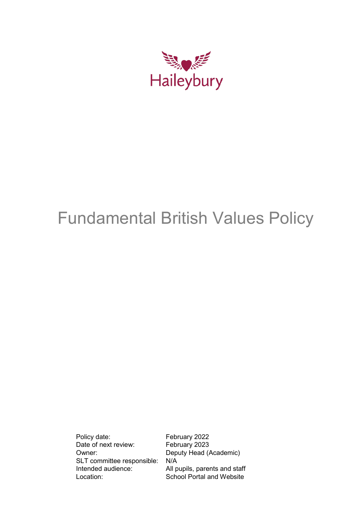

# Fundamental British Values Policy

Policy date: February 2022<br>Date of next review: February 2023 Date of next review: Owner: Deputy Head (Academic) SLT committee responsible: N/A Intended audience: All pupils, parents and staff Location: School Portal and Website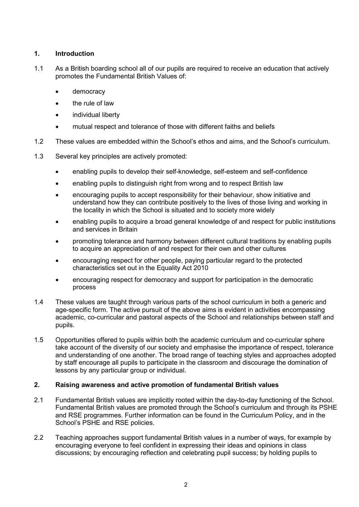## **1. Introduction**

- 1.1 As a British boarding school all of our pupils are required to receive an education that actively promotes the Fundamental British Values of:
	- democracy
	- the rule of law
	- individual liberty
	- mutual respect and tolerance of those with different faiths and beliefs
- 1.2 These values are embedded within the School's ethos and aims, and the School's curriculum.
- 1.3 Several key principles are actively promoted:
	- enabling pupils to develop their self-knowledge, self-esteem and self-confidence
	- enabling pupils to distinguish right from wrong and to respect British law
	- encouraging pupils to accept responsibility for their behaviour, show initiative and understand how they can contribute positively to the lives of those living and working in the locality in which the School is situated and to society more widely
	- enabling pupils to acquire a broad general knowledge of and respect for public institutions and services in Britain
	- promoting tolerance and harmony between different cultural traditions by enabling pupils to acquire an appreciation of and respect for their own and other cultures
	- encouraging respect for other people, paying particular regard to the protected characteristics set out in the Equality Act 2010
	- encouraging respect for democracy and support for participation in the democratic process
- 1.4 These values are taught through various parts of the school curriculum in both a generic and age-specific form. The active pursuit of the above aims is evident in activities encompassing academic, co-curricular and pastoral aspects of the School and relationships between staff and pupils.
- 1.5 Opportunities offered to pupils within both the academic curriculum and co-curricular sphere take account of the diversity of our society and emphasise the importance of respect, tolerance and understanding of one another. The broad range of teaching styles and approaches adopted by staff encourage all pupils to participate in the classroom and discourage the domination of lessons by any particular group or individual.

# **2. Raising awareness and active promotion of fundamental British values**

- 2.1 Fundamental British values are implicitly rooted within the day-to-day functioning of the School. Fundamental British values are promoted through the School's curriculum and through its PSHE and RSE programmes. Further information can be found in the Curriculum Policy, and in the School's PSHE and RSE policies.
- 2.2 Teaching approaches support fundamental British values in a number of ways, for example by encouraging everyone to feel confident in expressing their ideas and opinions in class discussions; by encouraging reflection and celebrating pupil success; by holding pupils to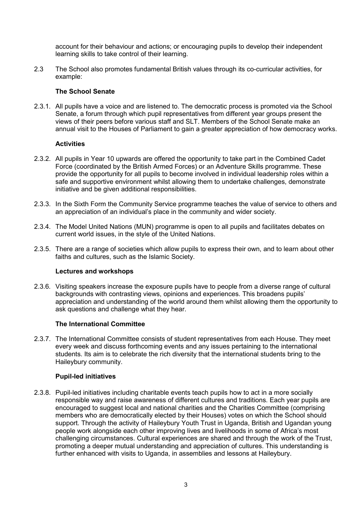account for their behaviour and actions; or encouraging pupils to develop their independent learning skills to take control of their learning.

2.3 The School also promotes fundamental British values through its co-curricular activities, for example:

## **The School Senate**

2.3.1. All pupils have a voice and are listened to. The democratic process is promoted via the School Senate, a forum through which pupil representatives from different year groups present the views of their peers before various staff and SLT. Members of the School Senate make an annual visit to the Houses of Parliament to gain a greater appreciation of how democracy works.

#### **Activities**

- 2.3.2. All pupils in Year 10 upwards are offered the opportunity to take part in the Combined Cadet Force (coordinated by the British Armed Forces) or an Adventure Skills programme. These provide the opportunity for all pupils to become involved in individual leadership roles within a safe and supportive environment whilst allowing them to undertake challenges, demonstrate initiative and be given additional responsibilities.
- 2.3.3. In the Sixth Form the Community Service programme teaches the value of service to others and an appreciation of an individual's place in the community and wider society.
- 2.3.4. The Model United Nations (MUN) programme is open to all pupils and facilitates debates on current world issues, in the style of the United Nations.
- 2.3.5. There are a range of societies which allow pupils to express their own, and to learn about other faiths and cultures, such as the Islamic Society.

#### **Lectures and workshops**

2.3.6. Visiting speakers increase the exposure pupils have to people from a diverse range of cultural backgrounds with contrasting views, opinions and experiences. This broadens pupils' appreciation and understanding of the world around them whilst allowing them the opportunity to ask questions and challenge what they hear.

#### **The International Committee**

2.3.7. The International Committee consists of student representatives from each House. They meet every week and discuss forthcoming events and any issues pertaining to the international students. Its aim is to celebrate the rich diversity that the international students bring to the Haileybury community.

#### **Pupil-led initiatives**

2.3.8. Pupil-led initiatives including charitable events teach pupils how to act in a more socially responsible way and raise awareness of different cultures and traditions. Each year pupils are encouraged to suggest local and national charities and the Charities Committee (comprising members who are democratically elected by their Houses) votes on which the School should support. Through the activity of Haileybury Youth Trust in Uganda, British and Ugandan young people work alongside each other improving lives and livelihoods in some of Africa's most challenging circumstances. Cultural experiences are shared and through the work of the Trust, promoting a deeper mutual understanding and appreciation of cultures. This understanding is further enhanced with visits to Uganda, in assemblies and lessons at Haileybury.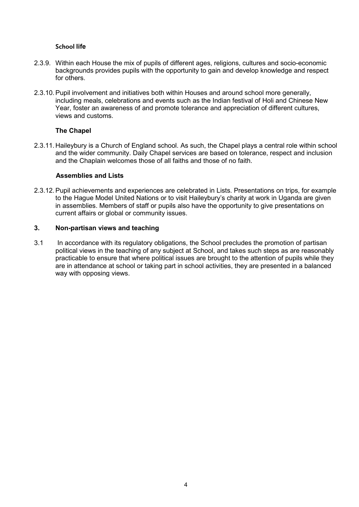#### **School life**

- 2.3.9. Within each House the mix of pupils of different ages, religions, cultures and socio-economic backgrounds provides pupils with the opportunity to gain and develop knowledge and respect for others.
- 2.3.10.Pupil involvement and initiatives both within Houses and around school more generally, including meals, celebrations and events such as the Indian festival of Holi and Chinese New Year, foster an awareness of and promote tolerance and appreciation of different cultures, views and customs.

## **The Chapel**

2.3.11. Haileybury is a Church of England school. As such, the Chapel plays a central role within school and the wider community. Daily Chapel services are based on tolerance, respect and inclusion and the Chaplain welcomes those of all faiths and those of no faith.

#### **Assemblies and Lists**

2.3.12.Pupil achievements and experiences are celebrated in Lists. Presentations on trips, for example to the Hague Model United Nations or to visit Haileybury's charity at work in Uganda are given in assemblies. Members of staff or pupils also have the opportunity to give presentations on current affairs or global or community issues.

## **3. Non-partisan views and teaching**

3.1 In accordance with its regulatory obligations, the School precludes the promotion of partisan political views in the teaching of any subject at School, and takes such steps as are reasonably practicable to ensure that where political issues are brought to the attention of pupils while they are in attendance at school or taking part in school activities, they are presented in a balanced way with opposing views.